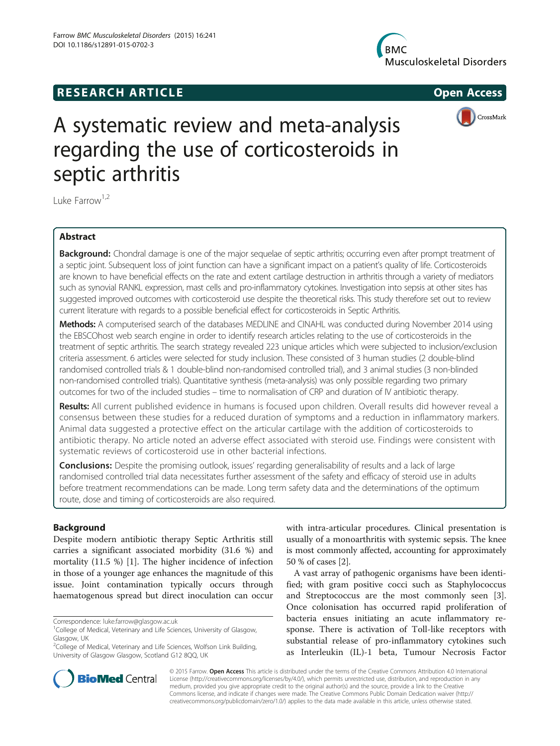## **RESEARCH ARTICLE Example 2014 CONSIDERING CONSIDERING CONSIDERING CONSIDERING CONSIDERING CONSIDERING CONSIDERING CONSIDERING CONSIDERING CONSIDERING CONSIDERING CONSIDERING CONSIDERING CONSIDERING CONSIDERING CONSIDE**





# A systematic review and meta-analysis regarding the use of corticosteroids in septic arthritis

Luke Farrow<sup>1,2</sup>

### Abstract

Background: Chondral damage is one of the major sequelae of septic arthritis; occurring even after prompt treatment of a septic joint. Subsequent loss of joint function can have a significant impact on a patient's quality of life. Corticosteroids are known to have beneficial effects on the rate and extent cartilage destruction in arthritis through a variety of mediators such as synovial RANKL expression, mast cells and pro-inflammatory cytokines. Investigation into sepsis at other sites has suggested improved outcomes with corticosteroid use despite the theoretical risks. This study therefore set out to review current literature with regards to a possible beneficial effect for corticosteroids in Septic Arthritis.

Methods: A computerised search of the databases MEDLINE and CINAHL was conducted during November 2014 using the EBSCOhost web search engine in order to identify research articles relating to the use of corticosteroids in the treatment of septic arthritis. The search strategy revealed 223 unique articles which were subjected to inclusion/exclusion criteria assessment. 6 articles were selected for study inclusion. These consisted of 3 human studies (2 double-blind randomised controlled trials & 1 double-blind non-randomised controlled trial), and 3 animal studies (3 non-blinded non-randomised controlled trials). Quantitative synthesis (meta-analysis) was only possible regarding two primary outcomes for two of the included studies – time to normalisation of CRP and duration of IV antibiotic therapy.

Results: All current published evidence in humans is focused upon children. Overall results did however reveal a consensus between these studies for a reduced duration of symptoms and a reduction in inflammatory markers. Animal data suggested a protective effect on the articular cartilage with the addition of corticosteroids to antibiotic therapy. No article noted an adverse effect associated with steroid use. Findings were consistent with systematic reviews of corticosteroid use in other bacterial infections.

Conclusions: Despite the promising outlook, issues' regarding generalisability of results and a lack of large randomised controlled trial data necessitates further assessment of the safety and efficacy of steroid use in adults before treatment recommendations can be made. Long term safety data and the determinations of the optimum route, dose and timing of corticosteroids are also required.

#### Background

Despite modern antibiotic therapy Septic Arthritis still carries a significant associated morbidity (31.6 %) and mortality (11.5 %) [[1\]](#page-6-0). The higher incidence of infection in those of a younger age enhances the magnitude of this issue. Joint contamination typically occurs through haematogenous spread but direct inoculation can occur

Correspondence: [luke.farrow@glasgow.ac.uk](mailto:luke.farrow@glasgow.ac.uk) <sup>1</sup>

with intra-articular procedures. Clinical presentation is usually of a monoarthritis with systemic sepsis. The knee is most commonly affected, accounting for approximately 50 % of cases [\[2\]](#page-6-0).

A vast array of pathogenic organisms have been identified; with gram positive cocci such as Staphylococcus and Streptococcus are the most commonly seen [\[3](#page-6-0)]. Once colonisation has occurred rapid proliferation of bacteria ensues initiating an acute inflammatory response. There is activation of Toll-like receptors with substantial release of pro-inflammatory cytokines such as Interleukin (IL)-1 beta, Tumour Necrosis Factor



© 2015 Farrow. Open Access This article is distributed under the terms of the Creative Commons Attribution 4.0 International License ([http://creativecommons.org/licenses/by/4.0/\)](http://creativecommons.org/licenses/by/4.0/), which permits unrestricted use, distribution, and reproduction in any medium, provided you give appropriate credit to the original author(s) and the source, provide a link to the Creative Commons license, and indicate if changes were made. The Creative Commons Public Domain Dedication waiver ([http://](http://creativecommons.org/publicdomain/zero/1.0/) [creativecommons.org/publicdomain/zero/1.0/\)](http://creativecommons.org/publicdomain/zero/1.0/) applies to the data made available in this article, unless otherwise stated.

<sup>&</sup>lt;sup>1</sup>College of Medical, Veterinary and Life Sciences, University of Glasgow, Glasgow, UK

<sup>&</sup>lt;sup>2</sup>College of Medical, Veterinary and Life Sciences, Wolfson Link Building, University of Glasgow Glasgow, Scotland G12 8QQ, UK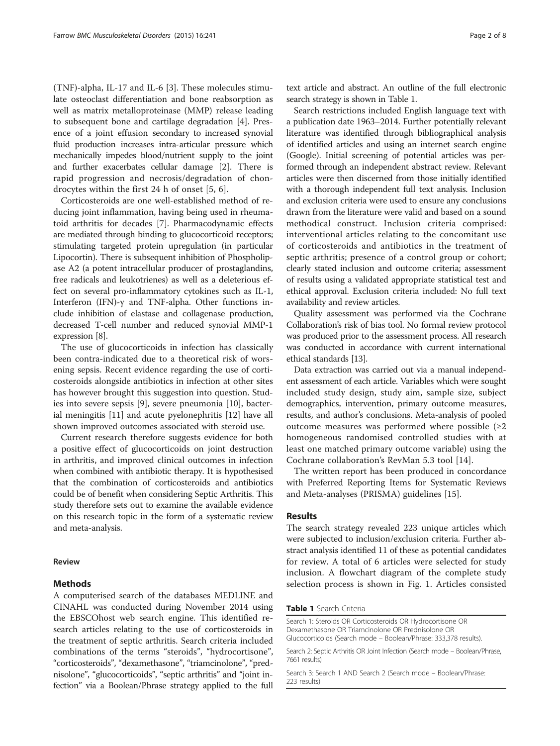(TNF)-alpha, IL-17 and IL-6 [[3\]](#page-6-0). These molecules stimulate osteoclast differentiation and bone reabsorption as well as matrix metalloproteinase (MMP) release leading to subsequent bone and cartilage degradation [\[4](#page-6-0)]. Presence of a joint effusion secondary to increased synovial fluid production increases intra-articular pressure which mechanically impedes blood/nutrient supply to the joint and further exacerbates cellular damage [\[2](#page-6-0)]. There is rapid progression and necrosis/degradation of chondrocytes within the first 24 h of onset [\[5](#page-6-0), [6\]](#page-6-0).

Corticosteroids are one well-established method of reducing joint inflammation, having being used in rheumatoid arthritis for decades [[7\]](#page-6-0). Pharmacodynamic effects are mediated through binding to glucocorticoid receptors; stimulating targeted protein upregulation (in particular Lipocortin). There is subsequent inhibition of Phospholipase A2 (a potent intracellular producer of prostaglandins, free radicals and leukotrienes) as well as a deleterious effect on several pro-inflammatory cytokines such as IL-1, Interferon (IFN)-γ and TNF-alpha. Other functions include inhibition of elastase and collagenase production, decreased T-cell number and reduced synovial MMP-1 expression [[8](#page-6-0)].

The use of glucocorticoids in infection has classically been contra-indicated due to a theoretical risk of worsening sepsis. Recent evidence regarding the use of corticosteroids alongside antibiotics in infection at other sites has however brought this suggestion into question. Studies into severe sepsis [[9\]](#page-6-0), severe pneumonia [[10](#page-6-0)], bacterial meningitis [[11\]](#page-6-0) and acute pyelonephritis [[12\]](#page-6-0) have all shown improved outcomes associated with steroid use.

Current research therefore suggests evidence for both a positive effect of glucocorticoids on joint destruction in arthritis, and improved clinical outcomes in infection when combined with antibiotic therapy. It is hypothesised that the combination of corticosteroids and antibiotics could be of benefit when considering Septic Arthritis. This study therefore sets out to examine the available evidence on this research topic in the form of a systematic review and meta-analysis.

#### Review

#### Methods

A computerised search of the databases MEDLINE and CINAHL was conducted during November 2014 using the EBSCOhost web search engine. This identified research articles relating to the use of corticosteroids in the treatment of septic arthritis. Search criteria included combinations of the terms "steroids", "hydrocortisone", "corticosteroids", "dexamethasone", "triamcinolone", "prednisolone", "glucocorticoids", "septic arthritis" and "joint infection" via a Boolean/Phrase strategy applied to the full

text article and abstract. An outline of the full electronic search strategy is shown in Table 1.

Search restrictions included English language text with a publication date 1963–2014. Further potentially relevant literature was identified through bibliographical analysis of identified articles and using an internet search engine (Google). Initial screening of potential articles was performed through an independent abstract review. Relevant articles were then discerned from those initially identified with a thorough independent full text analysis. Inclusion and exclusion criteria were used to ensure any conclusions drawn from the literature were valid and based on a sound methodical construct. Inclusion criteria comprised: interventional articles relating to the concomitant use of corticosteroids and antibiotics in the treatment of septic arthritis; presence of a control group or cohort; clearly stated inclusion and outcome criteria; assessment of results using a validated appropriate statistical test and ethical approval. Exclusion criteria included: No full text availability and review articles.

Quality assessment was performed via the Cochrane Collaboration's risk of bias tool. No formal review protocol was produced prior to the assessment process. All research was conducted in accordance with current international ethical standards [\[13](#page-7-0)].

Data extraction was carried out via a manual independent assessment of each article. Variables which were sought included study design, study aim, sample size, subject demographics, intervention, primary outcome measures, results, and author's conclusions. Meta-analysis of pooled outcome measures was performed where possible  $(\geq 2)$ homogeneous randomised controlled studies with at least one matched primary outcome variable) using the Cochrane collaboration's RevMan 5.3 tool [[14](#page-7-0)].

The written report has been produced in concordance with Preferred Reporting Items for Systematic Reviews and Meta-analyses (PRISMA) guidelines [[15\]](#page-7-0).

#### Results

The search strategy revealed 223 unique articles which were subjected to inclusion/exclusion criteria. Further abstract analysis identified 11 of these as potential candidates for review. A total of 6 articles were selected for study inclusion. A flowchart diagram of the complete study selection process is shown in Fig. [1.](#page-2-0) Articles consisted

#### Table 1 Search Criteria

Search 1: Steroids OR Corticosteroids OR Hydrocortisone OR Dexamethasone OR Triamcinolone OR Prednisolone OR Glucocorticoids (Search mode – Boolean/Phrase: 333,378 results).

Search 2: Septic Arthritis OR Joint Infection (Search mode – Boolean/Phrase, 7661 results)

Search 3: Search 1 AND Search 2 (Search mode – Boolean/Phrase: 223 results)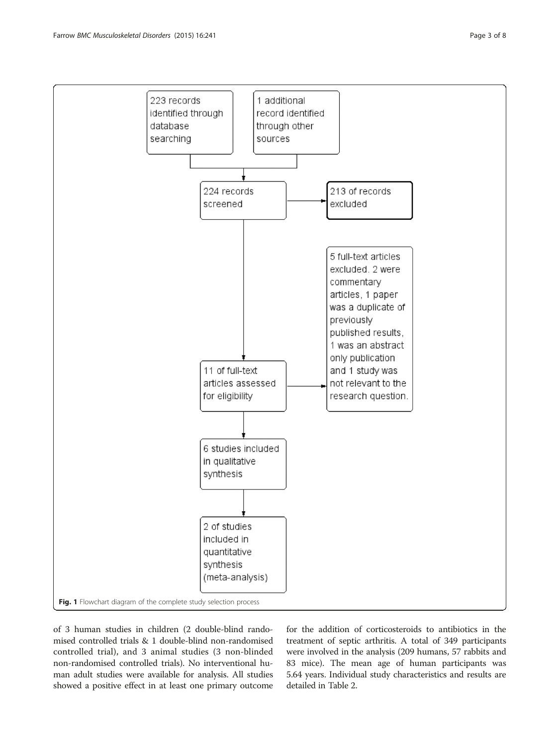<span id="page-2-0"></span>

of 3 human studies in children (2 double-blind randomised controlled trials & 1 double-blind non-randomised controlled trial), and 3 animal studies (3 non-blinded non-randomised controlled trials). No interventional human adult studies were available for analysis. All studies showed a positive effect in at least one primary outcome

for the addition of corticosteroids to antibiotics in the treatment of septic arthritis. A total of 349 participants were involved in the analysis (209 humans, 57 rabbits and 83 mice). The mean age of human participants was 5.64 years. Individual study characteristics and results are detailed in Table [2](#page-3-0).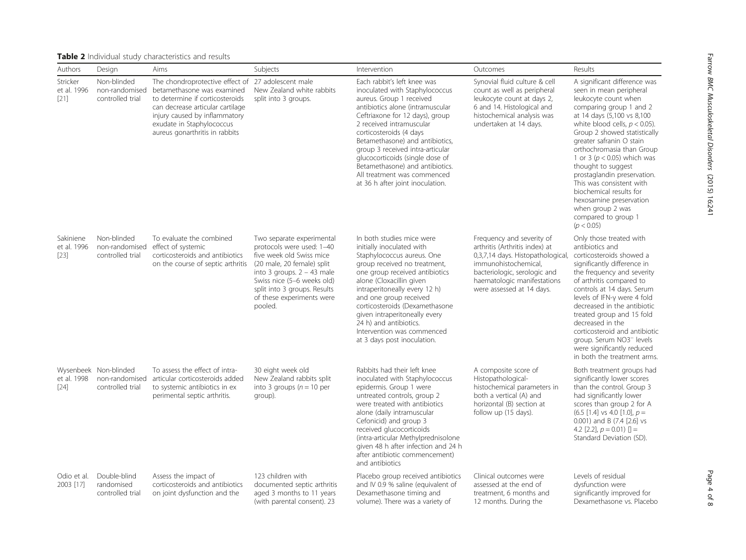#### <span id="page-3-0"></span>Table 2 Individual study characteristics and results

| Authors                            | Design                                                      | Aims                                                                                                                                                                                                                                                    | Subjects                                                                                                                                                                                                                                               | Intervention                                                                                                                                                                                                                                                                                                                                                                                                                            | Outcomes                                                                                                                                                                                                             | Results                                                                                                                                                                                                                                                                                                                                                                                                                                                                                                  |
|------------------------------------|-------------------------------------------------------------|---------------------------------------------------------------------------------------------------------------------------------------------------------------------------------------------------------------------------------------------------------|--------------------------------------------------------------------------------------------------------------------------------------------------------------------------------------------------------------------------------------------------------|-----------------------------------------------------------------------------------------------------------------------------------------------------------------------------------------------------------------------------------------------------------------------------------------------------------------------------------------------------------------------------------------------------------------------------------------|----------------------------------------------------------------------------------------------------------------------------------------------------------------------------------------------------------------------|----------------------------------------------------------------------------------------------------------------------------------------------------------------------------------------------------------------------------------------------------------------------------------------------------------------------------------------------------------------------------------------------------------------------------------------------------------------------------------------------------------|
| Stricker<br>et al. 1996<br>$[21]$  | Non-blinded<br>non-randomised<br>controlled trial           | The chondroprotective effect of 27 adolescent male<br>betamethasone was examined<br>to determine if corticosteroids<br>can decrease articular cartilage<br>injury caused by inflammatory<br>exudate in Staphylococcus<br>aureus gonarthritis in rabbits | New Zealand white rabbits<br>split into 3 groups.                                                                                                                                                                                                      | Each rabbit's left knee was<br>inoculated with Staphylococcus<br>aureus. Group 1 received<br>antibiotics alone (intramuscular<br>Ceftriaxone for 12 days), group<br>2 received intramuscular<br>corticosteroids (4 days<br>Betamethasone) and antibiotics,<br>group 3 received intra-articular<br>glucocorticoids (single dose of<br>Betamethasone) and antibiotics.<br>All treatment was commenced<br>at 36 h after joint inoculation. | Synovial fluid culture & cell<br>count as well as peripheral<br>leukocyte count at days 2,<br>6 and 14. Histological and<br>histochemical analysis was<br>undertaken at 14 days.                                     | A significant difference was<br>seen in mean peripheral<br>leukocyte count when<br>comparing group 1 and 2<br>at 14 days (5,100 vs 8,100<br>white blood cells, $p < 0.05$ ).<br>Group 2 showed statistically<br>greater safranin O stain<br>orthochromasia than Group<br>1 or 3 ( $p < 0.05$ ) which was<br>thought to suggest<br>prostaglandin preservation.<br>This was consistent with<br>biochemical results for<br>hexosamine preservation<br>when group 2 was<br>compared to group 1<br>(p < 0.05) |
| Sakiniene<br>et al. 1996<br>$[23]$ | Non-blinded<br>non-randomised<br>controlled trial           | To evaluate the combined<br>effect of systemic<br>corticosteroids and antibiotics<br>on the course of septic arthritis                                                                                                                                  | Two separate experimental<br>protocols were used: 1-40<br>five week old Swiss mice<br>(20 male, 20 female) split<br>into 3 groups. $2 - 43$ male<br>Swiss nice (5-6 weeks old)<br>split into 3 groups. Results<br>of these experiments were<br>pooled. | In both studies mice were<br>initially inoculated with<br>Staphylococcus aureus. One<br>group received no treatment,<br>one group received antibiotics<br>alone (Cloxacillin given<br>intraperitoneally every 12 h)<br>and one group received<br>corticosteroids (Dexamethasone<br>given intraperitoneally every<br>24 h) and antibiotics.<br>Intervention was commenced<br>at 3 days post inoculation.                                 | Frequency and severity of<br>arthritis (Arthritis index) at<br>0,3,7,14 days. Histopathological,<br>immunohistochemical,<br>bacteriologic, serologic and<br>haematologic manifestations<br>were assessed at 14 days. | Only those treated with<br>antibiotics and<br>corticosteroids showed a<br>significantly difference in<br>the frequency and severity<br>of arthritis compared to<br>controls at 14 days. Serum<br>levels of IFN-y were 4 fold<br>decreased in the antibiotic<br>treated group and 15 fold<br>decreased in the<br>corticosteroid and antibiotic<br>group. Serum NO3 <sup>-</sup> levels<br>were significantly reduced<br>in both the treatment arms.                                                       |
| et al. 1998<br>$[24]$              | Wysenbeek Non-blinded<br>non-randomised<br>controlled trial | To assess the effect of intra-<br>articular corticosteroids added<br>to systemic antibiotics in ex<br>perimental septic arthritis.                                                                                                                      | 30 eight week old<br>New Zealand rabbits split<br>into 3 groups ( $n = 10$ per<br>group).                                                                                                                                                              | Rabbits had their left knee<br>inoculated with Staphylococcus<br>epidermis. Group 1 were<br>untreated controls, group 2<br>were treated with antibiotics<br>alone (daily intramuscular<br>Cefonicid) and group 3<br>received glucocorticoids<br>(intra-articular Methylprednisolone<br>given 48 h after infection and 24 h<br>after antibiotic commencement)<br>and antibiotics                                                         | A composite score of<br>Histopathological-<br>histochemical parameters in<br>both a vertical (A) and<br>horizontal (B) section at<br>follow up (15 days).                                                            | Both treatment groups had<br>significantly lower scores<br>than the control. Group 3<br>had significantly lower<br>scores than group 2 for A<br>$(6.5 [1.4] \text{ vs } 4.0 [1.0], p =$<br>0.001) and B (7.4 [2.6] vs<br>4.2 [2.2], $p = 0.01$ ) [] =<br>Standard Deviation (SD).                                                                                                                                                                                                                        |
| Odio et al.<br>2003 [17]           | Double-blind<br>randomised<br>controlled trial              | Assess the impact of<br>corticosteroids and antibiotics<br>on joint dysfunction and the                                                                                                                                                                 | 123 children with<br>documented septic arthritis<br>aged 3 months to 11 years<br>(with parental consent). 23                                                                                                                                           | Placebo group received antibiotics<br>and IV 0.9 % saline (equivalent of<br>Dexamethasone timing and<br>volume). There was a variety of                                                                                                                                                                                                                                                                                                 | Clinical outcomes were<br>assessed at the end of<br>treatment, 6 months and<br>12 months. During the                                                                                                                 | Levels of residual<br>dysfunction were<br>significantly improved for<br>Dexamethasone vs. Placebo                                                                                                                                                                                                                                                                                                                                                                                                        |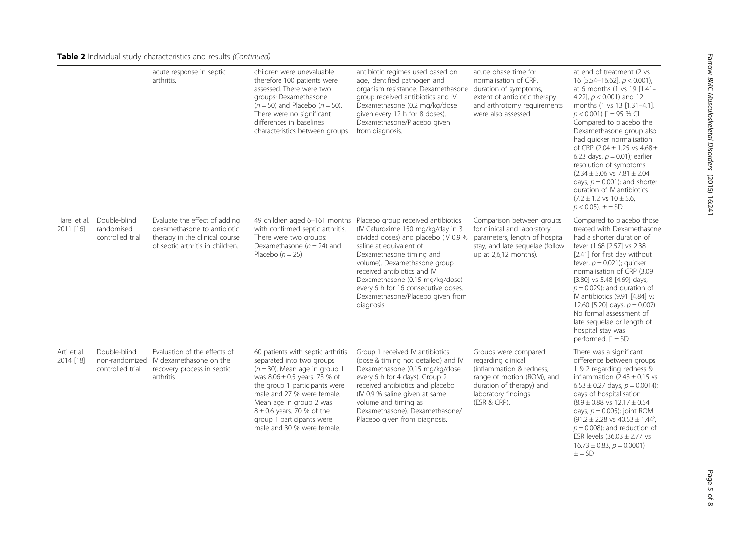|                           |                                                    | acute response in septic<br>arthritis.                                                                                             | children were unevaluable<br>therefore 100 patients were<br>assessed. There were two<br>groups: Dexamethasone<br>$(n = 50)$ and Placebo $(n = 50)$ .<br>There were no significant<br>differences in baselines<br>characteristics between groups                                                                                | antibiotic regimes used based on<br>age, identified pathogen and<br>organism resistance. Dexamethasone<br>group received antibiotics and IV<br>Dexamethasone (0.2 mg/kg/dose<br>given every 12 h for 8 doses).<br>Dexamethasone/Placebo given<br>from diagnosis.                                                                                                                                | acute phase time for<br>normalisation of CRP,<br>duration of symptoms,<br>extent of antibiotic therapy<br>and arthrotomy requirements<br>were also assessed.            | at end of treatment (2 vs<br>16 [5.54-16.62], $p < 0.001$ ),<br>at 6 months (1 vs 19 [1.41-<br>4.22], $p < 0.001$ ) and 12<br>months (1 vs 13 [1.31-4.1],<br>$p < 0.001$ ) [] = 95 % CI.<br>Compared to placebo the<br>Dexamethasone group also<br>had quicker normalisation<br>of CRP (2.04 $\pm$ 1.25 vs 4.68 $\pm$<br>6.23 days, $p = 0.01$ ; earlier<br>resolution of symptoms<br>$(2.34 \pm 5.06 \text{ vs } 7.81 \pm 2.04$<br>days, $p = 0.001$ ; and shorter<br>duration of IV antibiotics<br>$(7.2 \pm 1.2 \text{ vs } 10 \pm 5.6)$<br>$p < 0.05$ ). $\pm = SD$ |
|---------------------------|----------------------------------------------------|------------------------------------------------------------------------------------------------------------------------------------|--------------------------------------------------------------------------------------------------------------------------------------------------------------------------------------------------------------------------------------------------------------------------------------------------------------------------------|-------------------------------------------------------------------------------------------------------------------------------------------------------------------------------------------------------------------------------------------------------------------------------------------------------------------------------------------------------------------------------------------------|-------------------------------------------------------------------------------------------------------------------------------------------------------------------------|-------------------------------------------------------------------------------------------------------------------------------------------------------------------------------------------------------------------------------------------------------------------------------------------------------------------------------------------------------------------------------------------------------------------------------------------------------------------------------------------------------------------------------------------------------------------------|
| Harel et al.<br>2011 [16] | Double-blind<br>randomised<br>controlled trial     | Evaluate the effect of adding<br>dexamethasone to antibiotic<br>therapy in the clinical course<br>of septic arthritis in children. | with confirmed septic arthritis.<br>There were two groups:<br>Dexamethasone ( $n = 24$ ) and<br>Placebo $(n = 25)$                                                                                                                                                                                                             | 49 children aged 6-161 months Placebo group received antibiotics<br>(IV Cefuroxime 150 mg/kg/day in 3<br>divided doses) and placebo (IV 0.9 %<br>saline at equivalent of<br>Dexamethasone timing and<br>volume). Dexamethasone group<br>received antibiotics and IV<br>Dexamethasone (0.15 mg/kg/dose)<br>every 6 h for 16 consecutive doses.<br>Dexamethasone/Placebo given from<br>diagnosis. | Comparison between groups<br>for clinical and laboratory<br>parameters, length of hospital<br>stay, and late sequelae (follow<br>up at $2,6,12$ months).                | Compared to placebo those<br>treated with Dexamethasone<br>had a shorter duration of<br>fever (1.68 [2.57] vs 2.38<br>[2.41] for first day without<br>fever, $p = 0.021$ ); quicker<br>normalisation of CRP (3.09<br>$[3.80]$ vs 5.48 $[4.69]$ days,<br>$p = 0.029$ ; and duration of<br>IV antibiotics (9.91 [4.84] vs<br>12.60 [5.20] days, $p = 0.007$ ).<br>No formal assessment of<br>late sequelae or length of<br>hospital stay was<br>performed. $\Box$ = SD                                                                                                    |
| Arti et al.<br>2014 [18]  | Double-blind<br>non-randomized<br>controlled trial | Evaluation of the effects of<br>IV dexamethasone on the<br>recovery process in septic<br>arthritis                                 | 60 patients with septic arthritis<br>separated into two groups<br>$(n = 30)$ . Mean age in group 1<br>was $8.06 \pm 0.5$ years. 73 % of<br>the group 1 participants were<br>male and 27 % were female.<br>Mean age in group 2 was<br>$8 \pm 0.6$ years. 70 % of the<br>group 1 participants were<br>male and 30 % were female. | Group 1 received IV antibiotics<br>(dose & timing not detailed) and IV<br>Dexamethasone (0.15 mg/kg/dose<br>every 6 h for 4 days). Group 2<br>received antibiotics and placebo<br>(IV 0.9 % saline given at same<br>volume and timing as<br>Dexamethasone). Dexamethasone/<br>Placebo given from diagnosis.                                                                                     | Groups were compared<br>regarding clinical<br>(inflammation & redness,<br>range of motion (ROM), and<br>duration of therapy) and<br>laboratory findings<br>(ESR & CRP). | There was a significant<br>difference between groups<br>1 & 2 regarding redness &<br>inflammation $(2.43 \pm 0.15 \text{ vs }$<br>$6.53 \pm 0.27$ days, $p = 0.0014$ ;<br>days of hospitalisation<br>$(8.9 \pm 0.88 \text{ vs } 12.17 \pm 0.54$<br>days, $p = 0.005$ ); joint ROM<br>$(91.2 \pm 2.28 \text{ vs } 40.53 \pm 1.44^{\circ})$<br>$p = 0.008$ ); and reduction of<br>ESR levels $(36.03 \pm 2.77 \text{ vs }$<br>$16.73 \pm 0.83$ , $p = 0.0001$ )<br>$\pm$ = SD                                                                                             |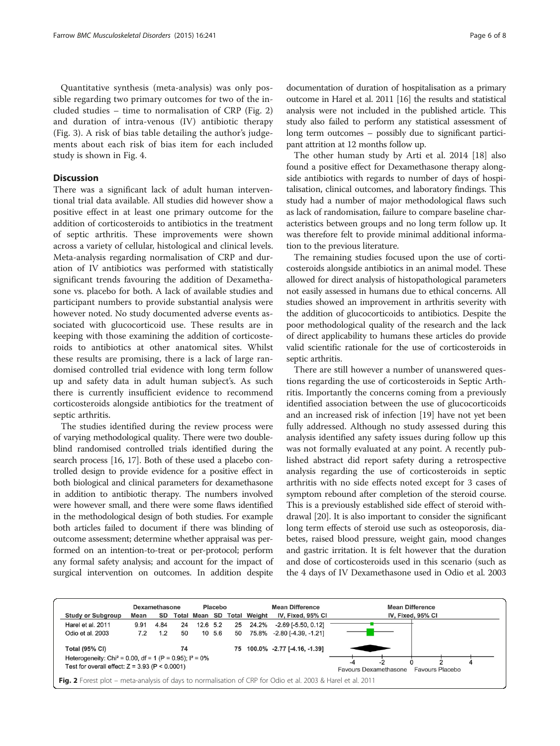Quantitative synthesis (meta-analysis) was only possible regarding two primary outcomes for two of the included studies – time to normalisation of CRP (Fig. 2) and duration of intra-venous (IV) antibiotic therapy (Fig. [3\)](#page-6-0). A risk of bias table detailing the author's judgements about each risk of bias item for each included study is shown in Fig. [4.](#page-6-0)

#### **Discussion**

There was a significant lack of adult human interventional trial data available. All studies did however show a positive effect in at least one primary outcome for the addition of corticosteroids to antibiotics in the treatment of septic arthritis. These improvements were shown across a variety of cellular, histological and clinical levels. Meta-analysis regarding normalisation of CRP and duration of IV antibiotics was performed with statistically significant trends favouring the addition of Dexamethasone vs. placebo for both. A lack of available studies and participant numbers to provide substantial analysis were however noted. No study documented adverse events associated with glucocorticoid use. These results are in keeping with those examining the addition of corticosteroids to antibiotics at other anatomical sites. Whilst these results are promising, there is a lack of large randomised controlled trial evidence with long term follow up and safety data in adult human subject's. As such there is currently insufficient evidence to recommend corticosteroids alongside antibiotics for the treatment of septic arthritis.

The studies identified during the review process were of varying methodological quality. There were two doubleblind randomised controlled trials identified during the search process [[16](#page-7-0), [17](#page-7-0)]. Both of these used a placebo controlled design to provide evidence for a positive effect in both biological and clinical parameters for dexamethasone in addition to antibiotic therapy. The numbers involved were however small, and there were some flaws identified in the methodological design of both studies. For example both articles failed to document if there was blinding of outcome assessment; determine whether appraisal was performed on an intention-to-treat or per-protocol; perform any formal safety analysis; and account for the impact of surgical intervention on outcomes. In addition despite

The other human study by Arti et al. 2014 [\[18](#page-7-0)] also found a positive effect for Dexamethasone therapy alongside antibiotics with regards to number of days of hospitalisation, clinical outcomes, and laboratory findings. This study had a number of major methodological flaws such as lack of randomisation, failure to compare baseline characteristics between groups and no long term follow up. It was therefore felt to provide minimal additional information to the previous literature.

The remaining studies focused upon the use of corticosteroids alongside antibiotics in an animal model. These allowed for direct analysis of histopathological parameters not easily assessed in humans due to ethical concerns. All studies showed an improvement in arthritis severity with the addition of glucocorticoids to antibiotics. Despite the poor methodological quality of the research and the lack of direct applicability to humans these articles do provide valid scientific rationale for the use of corticosteroids in septic arthritis.

There are still however a number of unanswered questions regarding the use of corticosteroids in Septic Arthritis. Importantly the concerns coming from a previously identified association between the use of glucocorticoids and an increased risk of infection [\[19](#page-7-0)] have not yet been fully addressed. Although no study assessed during this analysis identified any safety issues during follow up this was not formally evaluated at any point. A recently published abstract did report safety during a retrospective analysis regarding the use of corticosteroids in septic arthritis with no side effects noted except for 3 cases of symptom rebound after completion of the steroid course. This is a previously established side effect of steroid withdrawal [\[20\]](#page-7-0). It is also important to consider the significant long term effects of steroid use such as osteoporosis, diabetes, raised blood pressure, weight gain, mood changes and gastric irritation. It is felt however that the duration and dose of corticosteroids used in this scenario (such as the 4 days of IV Dexamethasone used in Odio et al. 2003

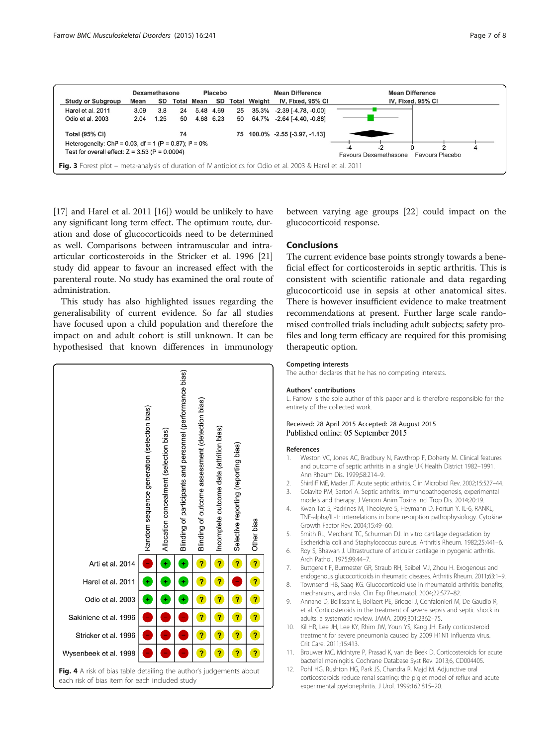<span id="page-6-0"></span>

[[17](#page-7-0)] and Harel et al. 2011 [\[16\]](#page-7-0)) would be unlikely to have any significant long term effect. The optimum route, duration and dose of glucocorticoids need to be determined as well. Comparisons between intramuscular and intraarticular corticosteroids in the Stricker et al. 1996 [[21](#page-7-0)] study did appear to favour an increased effect with the parenteral route. No study has examined the oral route of administration.

This study has also highlighted issues regarding the generalisability of current evidence. So far all studies have focused upon a child population and therefore the impact on and adult cohort is still unknown. It can be hypothesised that known differences in immunology



between varying age groups [\[22\]](#page-7-0) could impact on the glucocorticoid response.

#### Conclusions

The current evidence base points strongly towards a beneficial effect for corticosteroids in septic arthritis. This is consistent with scientific rationale and data regarding glucocorticoid use in sepsis at other anatomical sites. There is however insufficient evidence to make treatment recommendations at present. Further large scale randomised controlled trials including adult subjects; safety profiles and long term efficacy are required for this promising therapeutic option.

#### Competing interests

The author declares that he has no competing interests.

#### Authors' contributions

L. Farrow is the sole author of this paper and is therefore responsible for the entirety of the collected work.

#### Received: 28 April 2015 Accepted: 28 August 2015 Published online: 05 September 2015

#### References

- 1. Weston VC, Jones AC, Bradbury N, Fawthrop F, Doherty M. Clinical features and outcome of septic arthritis in a single UK Health District 1982–1991. Ann Rheum Dis. 1999;58:214–9.
- 2. Shirtliff ME, Mader JT. Acute septic arthritis. Clin Microbiol Rev. 2002;15:527–44.
- 3. Colavite PM, Sartori A. Septic arthritis: immunopathogenesis, experimental
- models and therapy. J Venom Anim Toxins incl Trop Dis. 2014;20:19. 4. Kwan Tat S, Padrines M, Theoleyre S, Heymann D, Fortun Y. IL-6, RANKL,
- TNF-alpha/IL-1: interrelations in bone resorption pathophysiology. Cytokine Growth Factor Rev. 2004;15:49–60.
- 5. Smith RL, Merchant TC, Schurman DJ. In vitro cartilage degradation by Escherichia coli and Staphylococcus aureus. Arthritis Rheum. 1982;25:441–6.
- 6. Roy S, Bhawan J. Ultrastructure of articular cartilage in pyogenic arthritis. Arch Pathol. 1975;99:44–7.
- 7. Buttgereit F, Burmester GR, Straub RH, Seibel MJ, Zhou H. Exogenous and endogenous glucocorticoids in rheumatic diseases. Arthritis Rheum. 2011;63:1–9.
- 8. Townsend HB, Saag KG. Glucocorticoid use in rheumatoid arthritis: benefits, mechanisms, and risks. Clin Exp Rheumatol. 2004;22:S77–82.
- 9. Annane D, Bellissant E, Bollaert PE, Briegel J, Confalonieri M, De Gaudio R, et al. Corticosteroids in the treatment of severe sepsis and septic shock in adults: a systematic review. JAMA. 2009;301:2362–75.
- 10. Kil HR, Lee JH, Lee KY, Rhim JW, Youn YS, Kang JH. Early corticosteroid treatment for severe pneumonia caused by 2009 H1N1 influenza virus. Crit Care. 2011;15:413.
- 11. Brouwer MC, McIntyre P, Prasad K, van de Beek D. Corticosteroids for acute bacterial meningitis. Cochrane Database Syst Rev. 2013;6, CD004405.
- 12. Pohl HG, Rushton HG, Park JS, Chandra R, Majd M. Adjunctive oral corticosteroids reduce renal scarring: the piglet model of reflux and acute experimental pyelonephritis. J Urol. 1999;162:815–20.